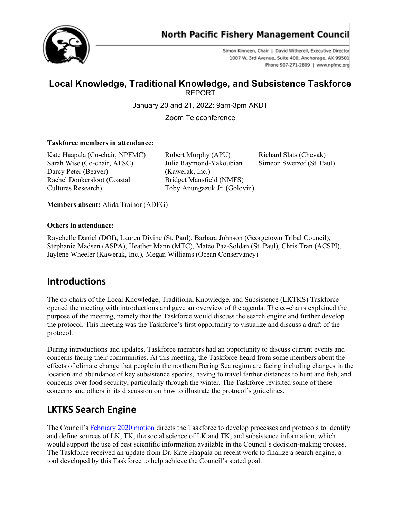



Simon Kinneen, Chair | David Witherell, Executive Director 1007 W. 3rd Avenue, Suite 400, Anchorage, AK 99501 Phone 907-271-2809 | www.npfmc.org

# **Local Knowledge, Traditional Knowledge, and Subsistence Taskforce**

REPORT

January 20 and 21, 2022: 9am-3pm AKDT

Zoom Teleconference

#### **Taskforce members in attendance:**

Kate Haapala (Co-chair, NPFMC) Robert Murphy (APU) Richard Slats (Chevak) Sarah Wise (Co-chair, AFSC) Julie Raymond-Yakoubian Simeon Swetzof (St. Paul) Darcy Peter (Beaver) (Kawerak, Inc.) Rachel Donkersloot (Coastal Bridget Mansfield (NMFS) Cultures Research) Toby Anungazuk Jr. (Golovin)

**Members absent:** Alida Trainor (ADFG)

#### **Others in attendance:**

Raychelle Daniel (DOI), Lauren Divine (St. Paul), Barbara Johnson (Georgetown Tribal Council), Stephanie Madsen (ASPA), Heather Mann (MTC), Mateo Paz-Soldan (St. Paul), Chris Tran (ACSPI), Jaylene Wheeler (Kawerak, Inc.), Megan Williams (Ocean Conservancy)

#### **Introductions**

The co-chairs of the Local Knowledge, Traditional Knowledge, and Subsistence (LKTKS) Taskforce opened the meeting with introductions and gave an overview of the agenda. The co-chairs explained the purpose of the meeting, namely that the Taskforce would discuss the search engine and further develop the protocol. This meeting was the Taskforce's first opportunity to visualize and discuss a draft of the protocol.

During introductions and updates, Taskforce members had an opportunity to discuss current events and concerns facing their communities. At this meeting, the Taskforce heard from some members about the effects of climate change that people in the northern Bering Sea region are facing including changes in the location and abundance of key subsistence species, having to travel farther distances to hunt and fish, and concerns over food security, particularly through the winter. The Taskforce revisited some of these concerns and others in its discussion on how to illustrate the protocol's guidelines.

### **LKTKS Search Engine**

The Council's [February 2020 motion d](https://meetings.npfmc.org/CommentReview/DownloadFile?p=64dcaccb-5c6d-4b31-b54b-89b80eba5037.pdf&fileName=Council%20Motion%20-%20January%202020.pdf)irects the Taskforce to develop processes and protocols to identify and define sources of LK, TK, the social science of LK and TK, and subsistence information, which would support the use of best scientific information available in the Council's decision-making process. The Taskforce received an update from Dr. Kate Haapala on recent work to finalize a search engine, a tool developed by this Taskforce to help achieve the Council's stated goal.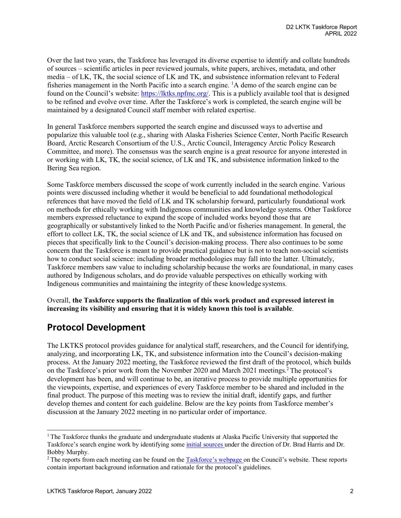Over the last two years, the Taskforce has leveraged its diverse expertise to identify and collate hundreds of sources – scientific articles in peer reviewed journals, white papers, archives, metadata, and other media – of LK, TK, the social science of LK and TK, and subsistence information relevant to Federal fisheries management in the North Pacific into a search engine. <sup>1</sup>A demo of the search engine can be found on the Council's website: [https://lktks.npfmc.org/.](https://lktks.npfmc.org/) This is a publicly available tool that is designed to be refined and evolve over time. After the Taskforce's work is completed, the search engine will be maintained by a designated Council staff member with related expertise.

In general Taskforce members supported the search engine and discussed ways to advertise and popularize this valuable tool (e.g., sharing with Alaska Fisheries Science Center, North Pacific Research Board, Arctic Research Consortium of the U.S., Arctic Council, Interagency Arctic Policy Research Committee, and more). The consensus was the search engine is a great resource for anyone interested in or working with LK, TK, the social science, of LK and TK, and subsistence information linked to the Bering Sea region.

Some Taskforce members discussed the scope of work currently included in the search engine. Various points were discussed including whether it would be beneficial to add foundational methodological references that have moved the field of LK and TK scholarship forward, particularly foundational work on methods for ethically working with Indigenous communities and knowledge systems. Other Taskforce members expressed reluctance to expand the scope of included works beyond those that are geographically or substantively linked to the North Pacific and/or fisheries management. In general, the effort to collect LK, TK, the social science of LK and TK, and subsistence information has focused on pieces that specifically link to the Council's decision-making process. There also continues to be some concern that the Taskforce is meant to provide practical guidance but is not to teach non-social scientists how to conduct social science: including broader methodologies may fall into the latter. Ultimately, Taskforce members saw value to including scholarship because the works are foundational, in many cases authored by Indigenous scholars, and do provide valuable perspectives on ethically working with Indigenous communities and maintaining the integrity of these knowledge systems.

Overall, **the Taskforce supports the finalization of this work product and expressed interest in increasing its visibility and ensuring that it is widely known this tool is available**.

### **Protocol Development**

The LKTKS protocol provides guidance for analytical staff, researchers, and the Council for identifying, analyzing, and incorporating LK, TK, and subsistence information into the Council's decision-making process. At the January 2022 meeting, the Taskforce reviewed the first draft of the protocol, which builds on the Taskforce's prior work from the November 2020 and March 2021 meetings.<sup>2</sup> The protocol's development has been, and will continue to be, an iterative process to provide multiple opportunities for the viewpoints, expertise, and experiences of every Taskforce member to be shared and included in the final product. The purpose of this meeting was to review the initial draft, identify gaps, and further develop themes and content for each guideline. Below are the key points from Taskforce member's discussion at the January 2022 meeting in no particular order of importance.

<span id="page-1-0"></span><sup>&</sup>lt;sup>1</sup> The Taskforce thanks the graduate and undergraduate students at Alaska Pacific University that supported the Taskforce's search engine work by identifying som[e initial sources u](http://meetings.npfmc.org/Meeting/Details/1403)nder the direction of Dr. Brad Harris and Dr. Bobby Murphy.

<span id="page-1-1"></span><sup>&</sup>lt;sup>2</sup> The reports from each meeting can be found on the [Taskforce's webpage o](https://www.npfmc.org/lktk_taskforce/)n the Council's website. These reports contain important background information and rationale for the protocol's guidelines.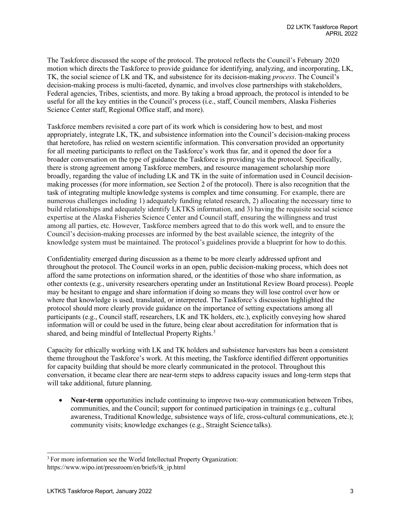The Taskforce discussed the scope of the protocol. The protocol reflects the Council's February 2020 motion which directs the Taskforce to provide guidance for identifying, analyzing, and incorporating, LK, TK, the social science of LK and TK, and subsistence for its decision-making *process*. The Council's decision-making process is multi-faceted, dynamic, and involves close partnerships with stakeholders, Federal agencies, Tribes, scientists, and more. By taking a broad approach, the protocol is intended to be useful for all the key entities in the Council's process (i.e., staff, Council members, Alaska Fisheries Science Center staff, Regional Office staff, and more).

Taskforce members revisited a core part of its work which is considering how to best, and most appropriately, integrate LK, TK, and subsistence information into the Council's decision-making process that heretofore, has relied on western scientific information. This conversation provided an opportunity for all meeting participants to reflect on the Taskforce's work thus far, and it opened the door for a broader conversation on the type of guidance the Taskforce is providing via the protocol. Specifically, there is strong agreement among Taskforce members, and resource management scholarship more broadly, regarding the value of including LK and TK in the suite of information used in Council decisionmaking processes (for more information, see Section 2 of the protocol). There is also recognition that the task of integrating multiple knowledge systems is complex and time consuming. For example, there are numerous challenges including 1) adequately funding related research, 2) allocating the necessary time to build relationships and adequately identify LKTKS information, and 3) having the requisite social science expertise at the Alaska Fisheries Science Center and Council staff, ensuring the willingness and trust among all parties, etc. However, Taskforce members agreed that to do this work well, and to ensure the Council's decision-making processes are informed by the best available science, the integrity of the knowledge system must be maintained. The protocol's guidelines provide a blueprint for how to do this.

Confidentiality emerged during discussion as a theme to be more clearly addressed upfront and throughout the protocol. The Council works in an open, public decision-making process, which does not afford the same protections on information shared, or the identities of those who share information, as other contexts (e.g., university researchers operating under an Institutional Review Board process). People may be hesitant to engage and share information if doing so means they will lose control over how or where that knowledge is used, translated, or interpreted. The Taskforce's discussion highlighted the protocol should more clearly provide guidance on the importance of setting expectations among all participants (e.g., Council staff, researchers, LK and TK holders, etc.), explicitly conveying how shared information will or could be used in the future, being clear about accreditation for information that is shared, and being mindful of Intellectual Property Rights.<sup>3</sup>

Capacity for ethically working with LK and TK holders and subsistence harvesters has been a consistent theme throughout the Taskforce's work. At this meeting, the Taskforce identified different opportunities for capacity building that should be more clearly communicated in the protocol. Throughout this conversation, it became clear there are near-term steps to address capacity issues and long-term steps that will take additional, future planning.

• **Near-term** opportunities include continuing to improve two-way communication between Tribes, communities, and the Council; support for continued participation in trainings (e.g., cultural awareness, Traditional Knowledge, subsistence ways of life, cross-cultural communications, etc.); community visits; knowledge exchanges (e.g., Straight Science talks).

<span id="page-2-0"></span><sup>&</sup>lt;sup>3</sup> For more information see the World Intellectual Property Organization: http[s://ww](http://www.wipo.int/pressroom/en/briefs/tk_ip.html)w[.wipo.int/pressroom/en/briefs/tk\\_ip.html](http://www.wipo.int/pressroom/en/briefs/tk_ip.html)